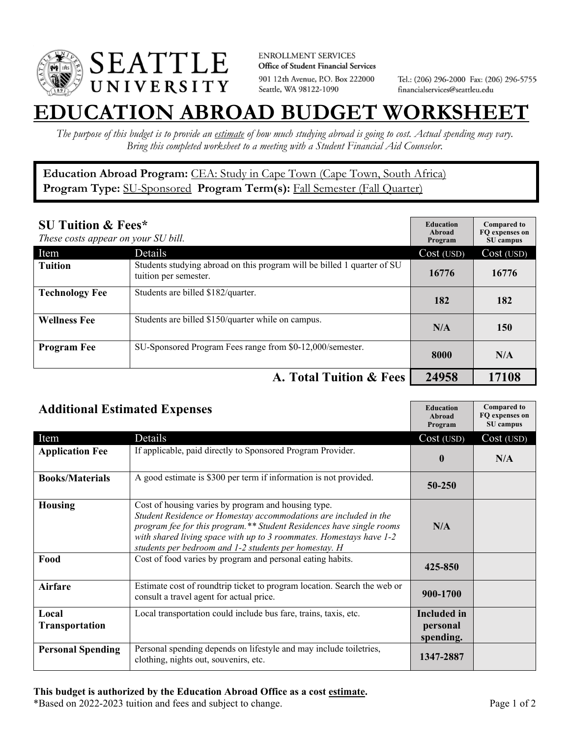

**ENROLLMENT SERVICES** Office of Student Financial Services 901 12th Avenue, P.O. Box 222000 Seattle, WA 98122-1090

Tel.: (206) 296-2000 Fax: (206) 296-5755 financialservices@seattleu.edu

## **EATION ABROAD BUDGET WORKSHEI**

*The purpose of this budget is to provide an estimate of how much studying abroad is going to cost. Actual spending may vary. Bring this completed worksheet to a meeting with a Student Financial Aid Counselor.* 

Education Abroad Program: CEA: Study in Cape Town (Cape Town, South Africa) Program Type: **SU-Sponsored** Program Term(s): **Fall Semester (Fall Quarter)** 

| <b>SU Tuition &amp; Fees*</b><br>These costs appear on your SU bill. |                                                                                                  | <b>Education</b><br>Abroad<br>Program | <b>Compared to</b><br>FO expenses on<br>SU campus |
|----------------------------------------------------------------------|--------------------------------------------------------------------------------------------------|---------------------------------------|---------------------------------------------------|
| Item                                                                 | Details                                                                                          | Cost (USD)                            | Cost (USD)                                        |
| <b>Tuition</b>                                                       | Students studying abroad on this program will be billed 1 quarter of SU<br>tuition per semester. | 16776                                 | 16776                                             |
| <b>Technology Fee</b>                                                | Students are billed \$182/quarter.                                                               | 182                                   | 182                                               |
| <b>Wellness Fee</b>                                                  | Students are billed \$150/quarter while on campus.                                               | N/A                                   | 150                                               |
| <b>Program Fee</b>                                                   | SU-Sponsored Program Fees range from \$0-12,000/semester.                                        | 8000                                  | N/A                                               |
|                                                                      | A. Total Tuition & Fees                                                                          | 24958                                 | 17108                                             |

| <b>Additional Estimated Expenses</b> |                                                                                                                                                                                                                                                                                                                                 | <b>Education</b><br>Abroad<br>Program       | <b>Compared to</b><br>FQ expenses on<br>SU campus |
|--------------------------------------|---------------------------------------------------------------------------------------------------------------------------------------------------------------------------------------------------------------------------------------------------------------------------------------------------------------------------------|---------------------------------------------|---------------------------------------------------|
| Item                                 | Details                                                                                                                                                                                                                                                                                                                         | Cost (USD)                                  | Cost (USD)                                        |
| <b>Application Fee</b>               | If applicable, paid directly to Sponsored Program Provider.                                                                                                                                                                                                                                                                     | $\mathbf{0}$                                | N/A                                               |
| <b>Books/Materials</b>               | A good estimate is \$300 per term if information is not provided.                                                                                                                                                                                                                                                               | 50-250                                      |                                                   |
| <b>Housing</b>                       | Cost of housing varies by program and housing type.<br>Student Residence or Homestay accommodations are included in the<br>program fee for this program.** Student Residences have single rooms<br>with shared living space with up to 3 roommates. Homestays have 1-2<br>students per bedroom and 1-2 students per homestay. H | N/A                                         |                                                   |
| Food                                 | Cost of food varies by program and personal eating habits.                                                                                                                                                                                                                                                                      | 425-850                                     |                                                   |
| Airfare                              | Estimate cost of roundtrip ticket to program location. Search the web or<br>consult a travel agent for actual price.                                                                                                                                                                                                            | 900-1700                                    |                                                   |
| Local<br>Transportation              | Local transportation could include bus fare, trains, taxis, etc.                                                                                                                                                                                                                                                                | <b>Included</b> in<br>personal<br>spending. |                                                   |
| <b>Personal Spending</b>             | Personal spending depends on lifestyle and may include toiletries,<br>clothing, nights out, souvenirs, etc.                                                                                                                                                                                                                     | 1347-2887                                   |                                                   |

\*Based on 2022-2023 tuition and fees and subject to change. Page 1 of 2